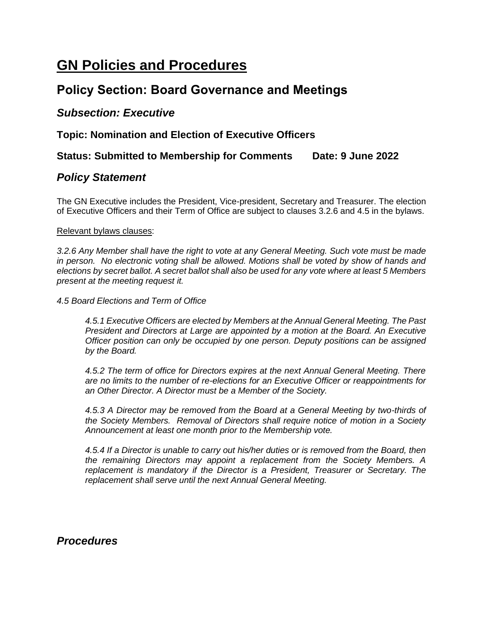# **GN Policies and Procedures**

## **Policy Section: Board Governance and Meetings**

### *Subsection: Executive*

**Topic: Nomination and Election of Executive Officers**

#### **Status: Submitted to Membership for Comments Date: 9 June 2022**

#### *Policy Statement*

The GN Executive includes the President, Vice-president, Secretary and Treasurer. The election of Executive Officers and their Term of Office are subject to clauses 3.2.6 and 4.5 in the bylaws.

#### Relevant bylaws clauses:

*3.2.6 Any Member shall have the right to vote at any General Meeting. Such vote must be made in person. No electronic voting shall be allowed. Motions shall be voted by show of hands and elections by secret ballot. A secret ballot shall also be used for any vote where at least 5 Members present at the meeting request it.*

*4.5 Board Elections and Term of Office*

*4.5.1 Executive Officers are elected by Members at the Annual General Meeting. The Past President and Directors at Large are appointed by a motion at the Board. An Executive Officer position can only be occupied by one person. Deputy positions can be assigned by the Board.*

*4.5.2 The term of office for Directors expires at the next Annual General Meeting. There are no limits to the number of re-elections for an Executive Officer or reappointments for an Other Director. A Director must be a Member of the Society.*

*4.5.3 A Director may be removed from the Board at a General Meeting by two-thirds of the Society Members. Removal of Directors shall require notice of motion in a Society Announcement at least one month prior to the Membership vote.*

*4.5.4 If a Director is unable to carry out his/her duties or is removed from the Board, then the remaining Directors may appoint a replacement from the Society Members. A replacement is mandatory if the Director is a President, Treasurer or Secretary. The replacement shall serve until the next Annual General Meeting.*

*Procedures*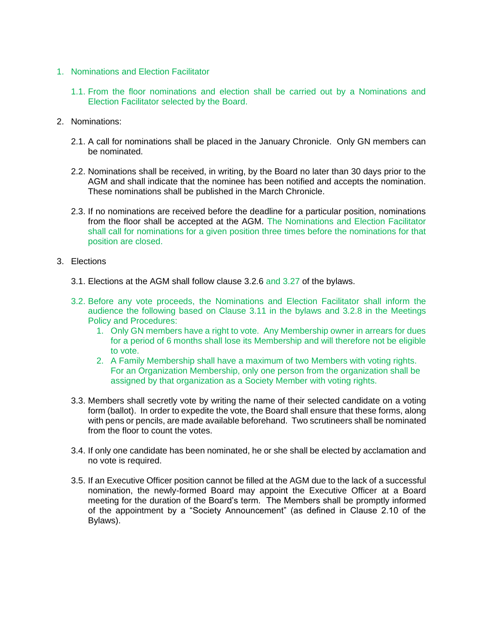- 1. Nominations and Election Facilitator
	- 1.1. From the floor nominations and election shall be carried out by a Nominations and Election Facilitator selected by the Board.
- 2. Nominations:
	- 2.1. A call for nominations shall be placed in the January Chronicle. Only GN members can be nominated.
	- 2.2. Nominations shall be received, in writing, by the Board no later than 30 days prior to the AGM and shall indicate that the nominee has been notified and accepts the nomination. These nominations shall be published in the March Chronicle.
	- 2.3. If no nominations are received before the deadline for a particular position, nominations from the floor shall be accepted at the AGM. The Nominations and Election Facilitator shall call for nominations for a given position three times before the nominations for that position are closed.
- 3. Elections
	- 3.1. Elections at the AGM shall follow clause 3.2.6 and 3.27 of the bylaws.
	- 3.2. Before any vote proceeds, the Nominations and Election Facilitator shall inform the audience the following based on Clause 3.11 in the bylaws and 3.2.8 in the Meetings Policy and Procedures:
		- 1. Only GN members have a right to vote. Any Membership owner in arrears for dues for a period of 6 months shall lose its Membership and will therefore not be eligible to vote.
		- 2. A Family Membership shall have a maximum of two Members with voting rights. For an Organization Membership, only one person from the organization shall be assigned by that organization as a Society Member with voting rights.
	- 3.3. Members shall secretly vote by writing the name of their selected candidate on a voting form (ballot). In order to expedite the vote, the Board shall ensure that these forms, along with pens or pencils, are made available beforehand. Two scrutineers shall be nominated from the floor to count the votes.
	- 3.4. If only one candidate has been nominated, he or she shall be elected by acclamation and no vote is required.
	- 3.5. If an Executive Officer position cannot be filled at the AGM due to the lack of a successful nomination, the newly-formed Board may appoint the Executive Officer at a Board meeting for the duration of the Board's term. The Members shall be promptly informed of the appointment by a "Society Announcement" (as defined in Clause 2.10 of the Bylaws).